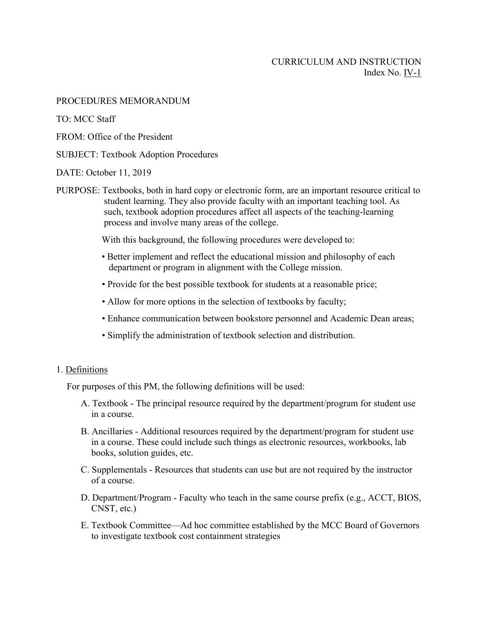# CURRICULUM AND INSTRUCTION Index No. IV-1

PROCEDURES MEMORANDUM

TO: MCC Staff

FROM: Office of the President

## SUBJECT: Textbook Adoption Procedures

DATE: October 11, 2019

PURPOSE: Textbooks, both in hard copy or electronic form, are an important resource critical to student learning. They also provide faculty with an important teaching tool. As such, textbook adoption procedures affect all aspects of the teaching-learning process and involve many areas of the college.

With this background, the following procedures were developed to:

- Better implement and reflect the educational mission and philosophy of each department or program in alignment with the College mission.
- Provide for the best possible textbook for students at a reasonable price;
- Allow for more options in the selection of textbooks by faculty;
- Enhance communication between bookstore personnel and Academic Dean areas;
- Simplify the administration of textbook selection and distribution.

### 1. Definitions

For purposes of this PM, the following definitions will be used:

- A. Textbook The principal resource required by the department/program for student use in a course.
- B. Ancillaries Additional resources required by the department/program for student use in a course. These could include such things as electronic resources, workbooks, lab books, solution guides, etc.
- C. Supplementals Resources that students can use but are not required by the instructor of a course.
- D. Department/Program Faculty who teach in the same course prefix (e.g., ACCT, BIOS, CNST, etc.)
- E. Textbook Committee—Ad hoc committee established by the MCC Board of Governors to investigate textbook cost containment strategies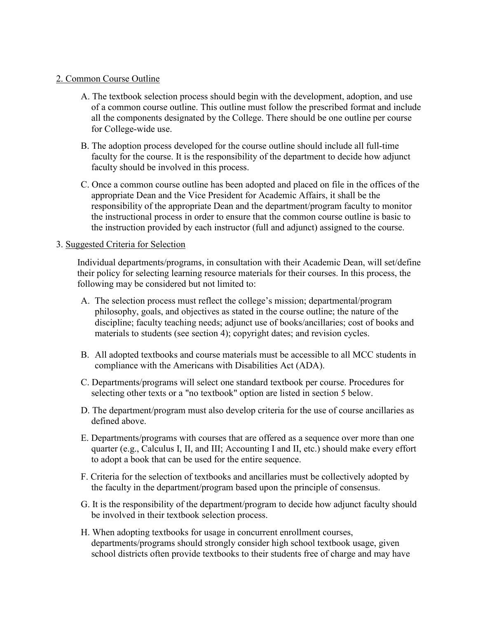## 2. Common Course Outline

- A. The textbook selection process should begin with the development, adoption, and use of a common course outline. This outline must follow the prescribed format and include all the components designated by the College. There should be one outline per course for College-wide use.
- B. The adoption process developed for the course outline should include all full-time faculty for the course. It is the responsibility of the department to decide how adjunct faculty should be involved in this process.
- C. Once a common course outline has been adopted and placed on file in the offices of the appropriate Dean and the Vice President for Academic Affairs, it shall be the responsibility of the appropriate Dean and the department/program faculty to monitor the instructional process in order to ensure that the common course outline is basic to the instruction provided by each instructor (full and adjunct) assigned to the course.

# 3. Suggested Criteria for Selection

Individual departments/programs, in consultation with their Academic Dean, will set/define their policy for selecting learning resource materials for their courses. In this process, the following may be considered but not limited to:

- A. The selection process must reflect the college's mission; departmental/program philosophy, goals, and objectives as stated in the course outline; the nature of the discipline; faculty teaching needs; adjunct use of books/ancillaries; cost of books and materials to students (see section 4); copyright dates; and revision cycles.
- B. All adopted textbooks and course materials must be accessible to all MCC students in compliance with the Americans with Disabilities Act (ADA).
- C. Departments/programs will select one standard textbook per course. Procedures for selecting other texts or a "no textbook" option are listed in section 5 below.
- D. The department/program must also develop criteria for the use of course ancillaries as defined above.
- E. Departments/programs with courses that are offered as a sequence over more than one quarter (e.g., Calculus I, II, and III; Accounting I and II, etc.) should make every effort to adopt a book that can be used for the entire sequence.
- F. Criteria for the selection of textbooks and ancillaries must be collectively adopted by the faculty in the department/program based upon the principle of consensus.
- G. It is the responsibility of the department/program to decide how adjunct faculty should be involved in their textbook selection process.
- H. When adopting textbooks for usage in concurrent enrollment courses, departments/programs should strongly consider high school textbook usage, given school districts often provide textbooks to their students free of charge and may have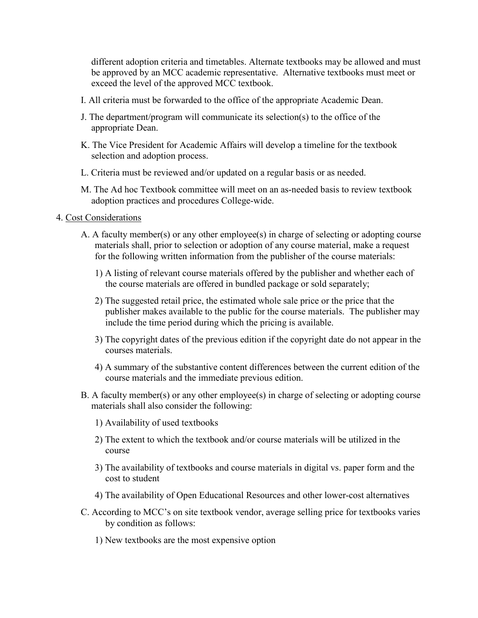different adoption criteria and timetables. Alternate textbooks may be allowed and must be approved by an MCC academic representative. Alternative textbooks must meet or exceed the level of the approved MCC textbook.

- I. All criteria must be forwarded to the office of the appropriate Academic Dean.
- J. The department/program will communicate its selection(s) to the office of the appropriate Dean.
- K. The Vice President for Academic Affairs will develop a timeline for the textbook selection and adoption process.
- L. Criteria must be reviewed and/or updated on a regular basis or as needed.
- M. The Ad hoc Textbook committee will meet on an as-needed basis to review textbook adoption practices and procedures College-wide.
- 4. Cost Considerations
	- A. A faculty member(s) or any other employee(s) in charge of selecting or adopting course materials shall, prior to selection or adoption of any course material, make a request for the following written information from the publisher of the course materials:
		- 1) A listing of relevant course materials offered by the publisher and whether each of the course materials are offered in bundled package or sold separately;
		- 2) The suggested retail price, the estimated whole sale price or the price that the publisher makes available to the public for the course materials. The publisher may include the time period during which the pricing is available.
		- 3) The copyright dates of the previous edition if the copyright date do not appear in the courses materials.
		- 4) A summary of the substantive content differences between the current edition of the course materials and the immediate previous edition.
	- B. A faculty member(s) or any other employee(s) in charge of selecting or adopting course materials shall also consider the following:
		- 1) Availability of used textbooks
		- 2) The extent to which the textbook and/or course materials will be utilized in the course
		- 3) The availability of textbooks and course materials in digital vs. paper form and the cost to student
		- 4) The availability of Open Educational Resources and other lower-cost alternatives
	- C. According to MCC's on site textbook vendor, average selling price for textbooks varies by condition as follows:
		- 1) New textbooks are the most expensive option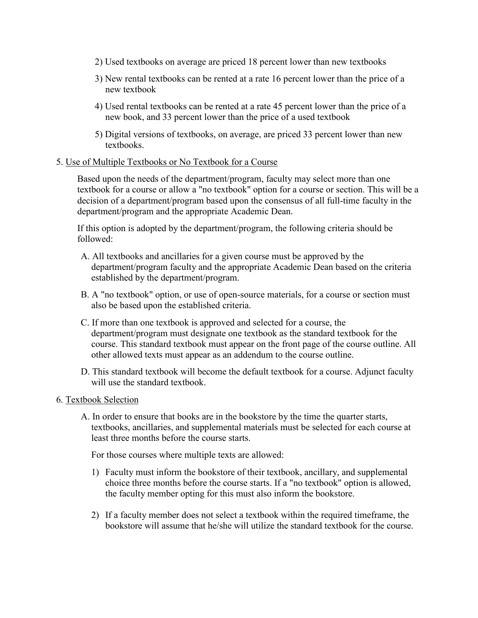- 2) Used textbooks on average are priced 18 percent lower than new textbooks
- 3) New rental textbooks can be rented at a rate 16 percent lower than the price of a new textbook
- 4) Used rental textbooks can be rented at a rate 45 percent lower than the price of a new book, and 33 percent lower than the price of a used textbook
- 5) Digital versions of textbooks, on average, are priced 33 percent lower than new textbooks.

## 5. Use of Multiple Textbooks or No Textbook for a Course

Based upon the needs of the department/program, faculty may select more than one textbook for a course or allow a "no textbook" option for a course or section. This will be a decision of a department/program based upon the consensus of all full-time faculty in the department/program and the appropriate Academic Dean.

If this option is adopted by the department/program, the following criteria should be followed:

- A. All textbooks and ancillaries for a given course must be approved by the department/program faculty and the appropriate Academic Dean based on the criteria established by the department/program.
- B. A "no textbook" option, or use of open-source materials, for a course or section must also be based upon the established criteria.
- C. If more than one textbook is approved and selected for a course, the department/program must designate one textbook as the standard textbook for the course. This standard textbook must appear on the front page of the course outline. All other allowed texts must appear as an addendum to the course outline.
- D. This standard textbook will become the default textbook for a course. Adjunct faculty will use the standard textbook.

### 6. Textbook Selection

A. In order to ensure that books are in the bookstore by the time the quarter starts, textbooks, ancillaries, and supplemental materials must be selected for each course at least three months before the course starts.

For those courses where multiple texts are allowed:

- 1) Faculty must inform the bookstore of their textbook, ancillary, and supplemental choice three months before the course starts. If a "no textbook" option is allowed, the faculty member opting for this must also inform the bookstore.
- 2) If a faculty member does not select a textbook within the required timeframe, the bookstore will assume that he/she will utilize the standard textbook for the course.